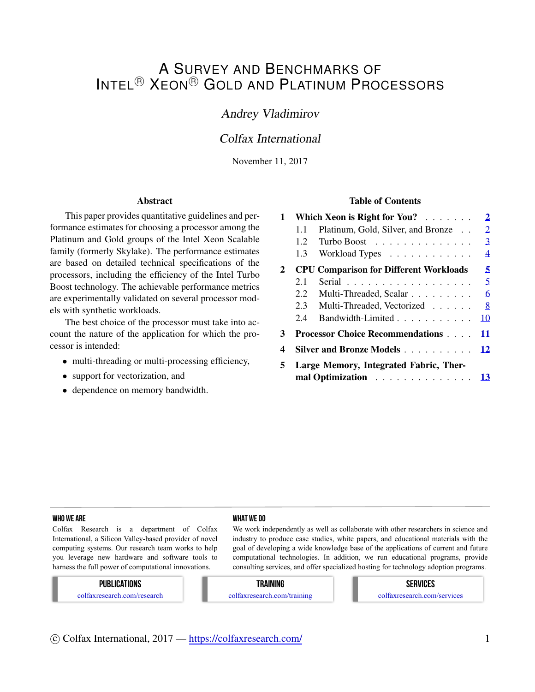# A SURVEY AND BENCHMARKS OF INTEL<sup>®</sup> XEON<sup>®</sup> GOLD AND PLATINUM PROCESSORS

## Andrey Vladimirov

## Colfax International

November 11, 2017

#### Abstract

This paper provides quantitative guidelines and performance estimates for choosing a processor among the Platinum and Gold groups of the Intel Xeon Scalable family (formerly Skylake). The performance estimates are based on detailed technical specifications of the processors, including the efficiency of the Intel Turbo Boost technology. The achievable performance metrics are experimentally validated on several processor models with synthetic workloads.

The best choice of the processor must take into account the nature of the application for which the processor is intended:

- multi-threading or multi-processing efficiency,
- *•* support for vectorization, and
- *•* dependence on memory bandwidth.

#### Table of Contents

| 1 |                                                                                                    | Which Xeon is Right for You?                  | $\overline{\mathbf{2}}$ |  |  |  |  |  |  |
|---|----------------------------------------------------------------------------------------------------|-----------------------------------------------|-------------------------|--|--|--|--|--|--|
|   | 1.1                                                                                                | Platinum, Gold, Silver, and Bronze            | $\overline{2}$          |  |  |  |  |  |  |
|   | 1.2                                                                                                | Turbo Boost                                   | 3                       |  |  |  |  |  |  |
|   | 1.3 <sup>1</sup>                                                                                   | Workload Types                                | $\overline{4}$          |  |  |  |  |  |  |
| 2 |                                                                                                    | <b>CPU Comparison for Different Workloads</b> | 5                       |  |  |  |  |  |  |
|   | 2.1                                                                                                | Serial                                        | 5                       |  |  |  |  |  |  |
|   | 2.2                                                                                                | Multi-Threaded, Scalar                        | 6                       |  |  |  |  |  |  |
|   | 2.3                                                                                                | Multi-Threaded, Vectorized                    | 8                       |  |  |  |  |  |  |
|   | 2.4                                                                                                | Bandwidth-Limited                             | 10                      |  |  |  |  |  |  |
| 3 |                                                                                                    | <b>Processor Choice Recommendations</b>       | 11                      |  |  |  |  |  |  |
| 4 |                                                                                                    | Silver and Bronze Models 12                   |                         |  |  |  |  |  |  |
| 5 | Large Memory, Integrated Fabric, Ther-<br>mal Optimization $\ldots \ldots \ldots \ldots \ldots$ 13 |                                               |                         |  |  |  |  |  |  |

#### WHO WE ARE WHO WE ARE WHO WE ARE WHO WHAT WE DO

Colfax Research is a department of Colfax International, a Silicon Valley-based provider of novel computing systems. Our research team works to help you leverage new hardware and software tools to harness the full power of computational innovations.

We work independently as well as collaborate with other researchers in science and industry to produce case studies, white papers, and educational materials with the goal of developing a wide knowledge base of the applications of current and future computational technologies. In addition, we run educational programs, provide consulting services, and offer specialized hosting for technology adoption programs.

#### PUBLICATIONS

colfaxresearch.com/research

#### TRAINING

colfaxresearch.com/training

# SERVICES

colfaxresearch.com/services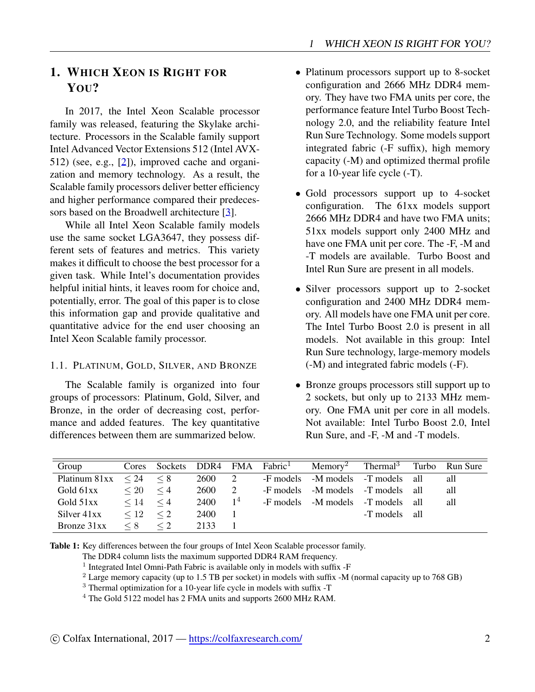# <span id="page-1-0"></span>1. WHICH XEON IS RIGHT FOR YOU?

In 2017, the Intel Xeon Scalable processor family was released, featuring the Skylake architecture. Processors in the Scalable family support Intel Advanced Vector Extensions 512 (Intel AVX-512) (see, e.g., [[2\]](#page-12-1)), improved cache and organization and memory technology. As a result, the Scalable family processors deliver better efficiency and higher performance compared their predeces-sors based on the Broadwell architecture [\[3](#page-12-2)].

While all Intel Xeon Scalable family models use the same socket LGA3647, they possess different sets of features and metrics. This variety makes it difficult to choose the best processor for a given task. While Intel's documentation provides helpful initial hints, it leaves room for choice and, potentially, error. The goal of this paper is to close this information gap and provide qualitative and quantitative advice for the end user choosing an Intel Xeon Scalable family processor.

## <span id="page-1-1"></span>1.1. PLATINUM, GOLD, SILVER, AND BRONZE

The Scalable family is organized into four groups of processors: Platinum, Gold, Silver, and Bronze, in the order of decreasing cost, performance and added features. The key quantitative differences between them are summarized below.

- *•* Platinum processors support up to 8-socket configuration and 2666 MHz DDR4 memory. They have two FMA units per core, the performance feature Intel Turbo Boost Technology 2.0, and the reliability feature Intel Run Sure Technology. Some models support integrated fabric (-F suffix), high memory capacity (-M) and optimized thermal profile for a 10-year life cycle (-T).
- Gold processors support up to 4-socket configuration. The 61xx models support The 61xx models support 2666 MHz DDR4 and have two FMA units; 51xx models support only 2400 MHz and have one FMA unit per core. The -F, -M and -T models are available. Turbo Boost and Intel Run Sure are present in all models.
- Silver processors support up to 2-socket configuration and 2400 MHz DDR4 memory. All models have one FMA unit per core. The Intel Turbo Boost 2.0 is present in all models. Not available in this group: Intel Run Sure technology, large-memory models (-M) and integrated fabric models (-F).
- *•* Bronze groups processors still support up to 2 sockets, but only up to 2133 MHz memory. One FMA unit per core in all models. Not available: Intel Turbo Boost 2.0, Intel Run Sure, and -F, -M and -T models.

| Group                   | Cores     | Sockets DDR4 FMA Fabric <sup>1</sup> |      |                | Memory <sup>2</sup>               | Thermal <sup>3</sup> Turbo | Run Sure |
|-------------------------|-----------|--------------------------------------|------|----------------|-----------------------------------|----------------------------|----------|
| Platinum $81xx \leq 24$ |           | $\leq 8$                             | 2600 | 2              | -F models -M models -T models all |                            | all      |
| Gold 61xx               | $\leq 20$ | $\leq 4$                             | 2600 |                | -F models -M models -T models all |                            | all      |
| Gold 51xx               | $\leq 14$ | $\leq 4$                             | 2400 | 1 <sup>4</sup> | -F models -M models -T models all |                            | all      |
| Silver 41xx             | $\leq 12$ | $\leq$ 2                             | 2400 |                |                                   | -T models all              |          |
| Bronze 31xx             | $\leq 8$  | $\leq$ 2                             | 2133 |                |                                   |                            |          |

Table 1: Key differences between the four groups of Intel Xeon Scalable processor family.

The DDR4 column lists the maximum supported DDR4 RAM frequency.

<sup>1</sup> Integrated Intel Omni-Path Fabric is available only in models with suffix -F

<sup>2</sup> Large memory capacity (up to 1.5 TB per socket) in models with suffix -M (normal capacity up to 768 GB)

<sup>3</sup> Thermal optimization for a 10-year life cycle in models with suffix -T

<sup>4</sup> The Gold 5122 model has 2 FMA units and supports 2600 MHz RAM.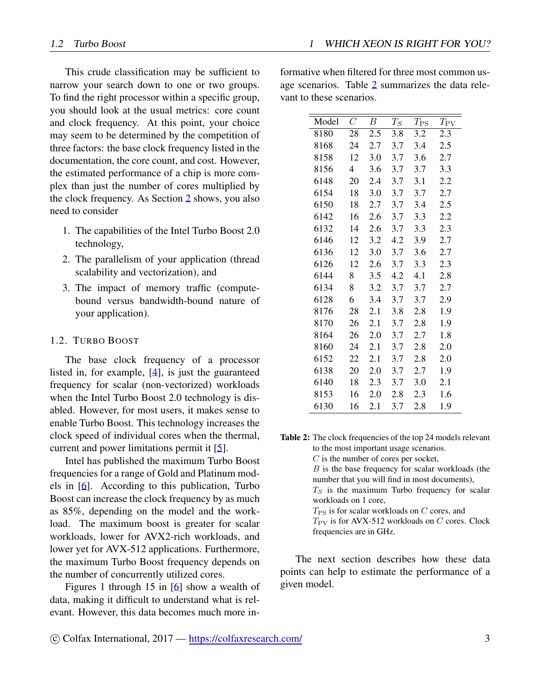This crude classification may be sufficient to narrow your search down to one or two groups. To find the right processor within a specific group, you should look at the usual metrics: core count and clock frequency. At this point, your choice may seem to be determined by the competition of three factors: the base clock frequency listed in the documentation, the core count, and cost. However, the estimated performance of a chip is more complex than just the number of cores multiplied by the clock frequency. As Section [2](#page-4-0) shows, you also need to consider

- 1. The capabilities of the Intel Turbo Boost 2.0 technology,
- 2. The parallelism of your application (thread scalability and vectorization), and
- 3. The impact of memory traffic (computebound versus bandwidth-bound nature of your application).

#### <span id="page-2-0"></span>1.2. TURBO BOOST

The base clock frequency of a processor listed in, for example, [\[4](#page-12-3)], is just the guaranteed frequency for scalar (non-vectorized) workloads when the Intel Turbo Boost 2.0 technology is disabled. However, for most users, it makes sense to enable Turbo Boost. This technology increases the clock speed of individual cores when the thermal, current and power limitations permit it [[5\]](#page-12-4).

Intel has published the maximum Turbo Boost frequencies for a range of Gold and Platinum models in [\[6](#page-12-5)]. According to this publication, Turbo Boost can increase the clock frequency by as much as 85%, depending on the model and the workload. The maximum boost is greater for scalar workloads, lower for AVX2-rich workloads, and lower yet for AVX-512 applications. Furthermore, the maximum Turbo Boost frequency depends on the number of concurrently utilized cores.

Figures 1 through 15 in [\[6](#page-12-5)] show a wealth of data, making it difficult to understand what is relevant. However, this data becomes much more informative when filtered for three most common usage scenarios. Table [2](#page-2-1) summarizes the data relevant to these scenarios.

<span id="page-2-1"></span>

| Model | $\overline{C}$ | B   | $T_S$ | $T_{\rm PS}$ | $T_{\rm PV}$ |
|-------|----------------|-----|-------|--------------|--------------|
| 8180  | 28             | 2.5 | 3.8   | 3.2          | 2.3          |
| 8168  | 24             | 2.7 | 3.7   | 3.4          | 2.5          |
| 8158  | 12             | 3.0 | 3.7   | 3.6          | 2.7          |
| 8156  | 4              | 3.6 | 3.7   | 3.7          | 3.3          |
| 6148  | 20             | 2.4 | 3.7   | 3.1          | 2.2          |
| 6154  | 18             | 3.0 | 3.7   | 3.7          | 2.7          |
| 6150  | 18             | 2.7 | 3.7   | 3.4          | 2.5          |
| 6142  | 16             | 2.6 | 3.7   | 3.3          | 2.2          |
| 6132  | 14             | 2.6 | 3.7   | 3.3          | 2.3          |
| 6146  | 12             | 3.2 | 4.2   | 3.9          | 2.7          |
| 6136  | 12             | 3.0 | 3.7   | 3.6          | 2.7          |
| 6126  | 12             | 2.6 | 3.7   | 3.3          | 2.3          |
| 6144  | 8              | 3.5 | 4.2   | 4.1          | 2.8          |
| 6134  | 8              | 3.2 | 3.7   | 3.7          | 2.7          |
| 6128  | 6              | 3.4 | 3.7   | 3.7          | 2.9          |
| 8176  | 28             | 2.1 | 3.8   | 2.8          | 1.9          |
| 8170  | 26             | 2.1 | 3.7   | 2.8          | 1.9          |
| 8164  | 26             | 2.0 | 3.7   | 2.7          | 1.8          |
| 8160  | 24             | 2.1 | 3.7   | 2.8          | 2.0          |
| 6152  | 22             | 2.1 | 3.7   | 2.8          | 2.0          |
| 6138  | 20             | 2.0 | 3.7   | 2.7          | 1.9          |
| 6140  | 18             | 2.3 | 3.7   | 3.0          | 2.1          |
| 8153  | 16             | 2.0 | 2.8   | 2.3          | 1.6          |
| 6130  | 16             | 2.1 | 3.7   | 2.8          | 1.9          |

Table 2: The clock frequencies of the top 24 models relevant to the most important usage scenarios. *C* is the number of cores per socket, *B* is the base frequency for scalar workloads (the number that you will find in most documents),  $T<sub>S</sub>$  is the maximum Turbo frequency for scalar workloads on 1 core, *T*PS is for scalar workloads on *C* cores, and *T*<sub>PV</sub> is for AVX-512 workloads on *C* cores. Clock

frequencies are in GHz.

The next section describes how these data points can help to estimate the performance of a given model.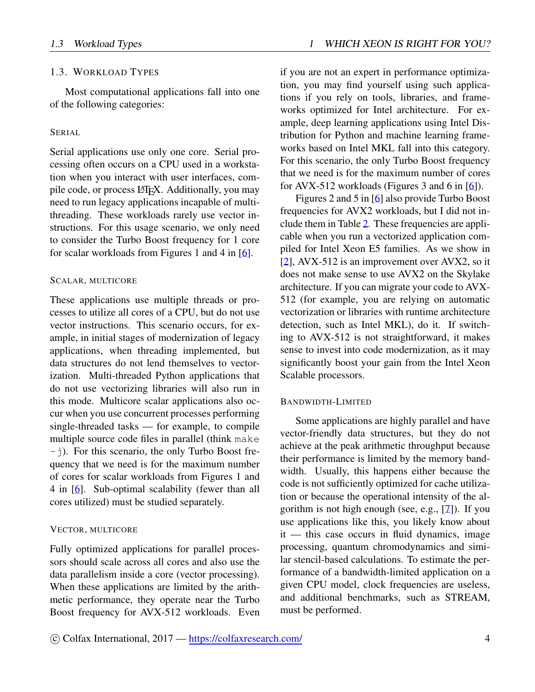### <span id="page-3-0"></span>1.3. WORKLOAD TYPES

Most computational applications fall into one of the following categories:

#### SERIAL

Serial applications use only one core. Serial processing often occurs on a CPU used in a workstation when you interact with user interfaces, compile code, or process LAT<sub>EX</sub>. Additionally, you may need to run legacy applications incapable of multithreading. These workloads rarely use vector instructions. For this usage scenario, we only need to consider the Turbo Boost frequency for 1 core for scalar workloads from Figures 1 and 4 in [\[6](#page-12-5)].

#### SCALAR, MULTICORE

These applications use multiple threads or processes to utilize all cores of a CPU, but do not use vector instructions. This scenario occurs, for example, in initial stages of modernization of legacy applications, when threading implemented, but data structures do not lend themselves to vectorization. Multi-threaded Python applications that do not use vectorizing libraries will also run in this mode. Multicore scalar applications also occur when you use concurrent processes performing single-threaded tasks — for example, to compile multiple source code files in parallel (think make  $-$ j). For this scenario, the only Turbo Boost frequency that we need is for the maximum number of cores for scalar workloads from Figures 1 and 4 in [[6\]](#page-12-5). Sub-optimal scalability (fewer than all cores utilized) must be studied separately.

#### VECTOR, MULTICORE

Fully optimized applications for parallel processors should scale across all cores and also use the data parallelism inside a core (vector processing). When these applications are limited by the arithmetic performance, they operate near the Turbo Boost frequency for AVX-512 workloads. Even if you are not an expert in performance optimization, you may find yourself using such applications if you rely on tools, libraries, and frameworks optimized for Intel architecture. For example, deep learning applications using Intel Distribution for Python and machine learning frameworks based on Intel MKL fall into this category. For this scenario, the only Turbo Boost frequency that we need is for the maximum number of cores for AVX-512 workloads (Figures 3 and 6 in [[6\]](#page-12-5)).

Figures 2 and 5 in [\[6](#page-12-5)] also provide Turbo Boost frequencies for AVX2 workloads, but I did not include them in Table [2](#page-2-1). These frequencies are applicable when you run a vectorized application compiled for Intel Xeon E5 families. As we show in [[2\]](#page-12-1), AVX-512 is an improvement over AVX2, so it does not make sense to use AVX2 on the Skylake architecture. If you can migrate your code to AVX-512 (for example, you are relying on automatic vectorization or libraries with runtime architecture detection, such as Intel MKL), do it. If switching to AVX-512 is not straightforward, it makes sense to invest into code modernization, as it may significantly boost your gain from the Intel Xeon Scalable processors.

#### BANDWIDTH-LIMITED

Some applications are highly parallel and have vector-friendly data structures, but they do not achieve at the peak arithmetic throughput because their performance is limited by the memory bandwidth. Usually, this happens either because the code is not sufficiently optimized for cache utilization or because the operational intensity of the algorithm is not high enough (see, e.g., [[7](#page-12-6)]). If you use applications like this, you likely know about it — this case occurs in fluid dynamics, image processing, quantum chromodynamics and similar stencil-based calculations. To estimate the performance of a bandwidth-limited application on a given CPU model, clock frequencies are useless, and additional benchmarks, such as STREAM, must be performed.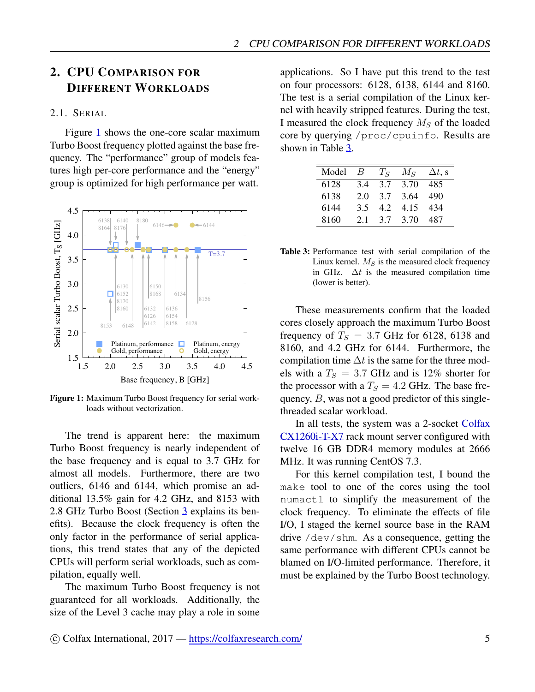# <span id="page-4-0"></span>2. CPU COMPARISON FOR **DIFFERENT WORKLOADS**

#### <span id="page-4-1"></span>2.1. SERIAL

Figure 1 shows the one-core scalar maximum Turbo Boost frequency plotted against the base frequency. The "performance" group of models features high per-core performance and the "energy" group is optimized for high performance per watt.

<span id="page-4-2"></span>

Figure 1: Maximum Turbo Boost frequency for serial workloads without vectorization.

The trend is apparent here: the maximum Turbo Boost frequency is nearly independent of the base frequency and is equal to 3.7 GHz for almost all models. Furthermore, there are two outliers, 6146 and 6144, which promise an additional  $13.5\%$  gain for 4.2 GHz, and 8153 with 2.8 GHz Turbo Boost (Section 3 explains its benefits). Because the clock frequency is often the only factor in the performance of serial applications, this trend states that any of the depicted CPUs will perform serial workloads, such as compilation, equally well.

The maximum Turbo Boost frequency is not guaranteed for all workloads. Additionally, the size of the Level 3 cache may play a role in some

applications. So I have put this trend to the test on four processors: 6128, 6138, 6144 and 8160. The test is a serial compilation of the Linux kernel with heavily stripped features. During the test, I measured the clock frequency  $M_S$  of the loaded core by querying /proc/cpuinfo. Results are shown in Table  $3$ .

<span id="page-4-3"></span>

| Model | B   | $T_S$ | $M_{S}$ | $\Delta t$ , s |
|-------|-----|-------|---------|----------------|
| 6128  | 34  | 3.7   | 3.70    | 485            |
| 6138  | 2.0 | 3.7   | 3.64    | 490            |
| 6144  | 3.5 | 4.2   | 4.15    | 434            |
| 8160  | 2.1 | 37    | 3.70    | 487            |

| <b>Table 3:</b> Performance test with serial compilation of the |  |  |  |
|-----------------------------------------------------------------|--|--|--|
| Linux kernel. $MS$ is the measured clock frequency              |  |  |  |
| in GHz. $\Delta t$ is the measured compilation time             |  |  |  |
| (lower is better).                                              |  |  |  |

These measurements confirm that the loaded cores closely approach the maximum Turbo Boost frequency of  $T_s = 3.7$  GHz for 6128, 6138 and 8160, and 4.2 GHz for 6144. Furthermore, the compilation time  $\Delta t$  is the same for the three models with a  $T_S = 3.7$  GHz and is 12% shorter for the processor with a  $T_s = 4.2$  GHz. The base frequency,  $B$ , was not a good predictor of this singlethreaded scalar workload.

In all tests, the system was a 2-socket Colfax CX1260i-T-X7 rack mount server configured with twelve 16 GB DDR4 memory modules at 2666 MHz. It was running CentOS 7.3.

For this kernel compilation test, I bound the make tool to one of the cores using the tool numactl to simplify the measurement of the clock frequency. To eliminate the effects of file I/O, I staged the kernel source base in the RAM drive  $/\text{dev}/\text{shm}$ . As a consequence, getting the same performance with different CPUs cannot be blamed on I/O-limited performance. Therefore, it must be explained by the Turbo Boost technology.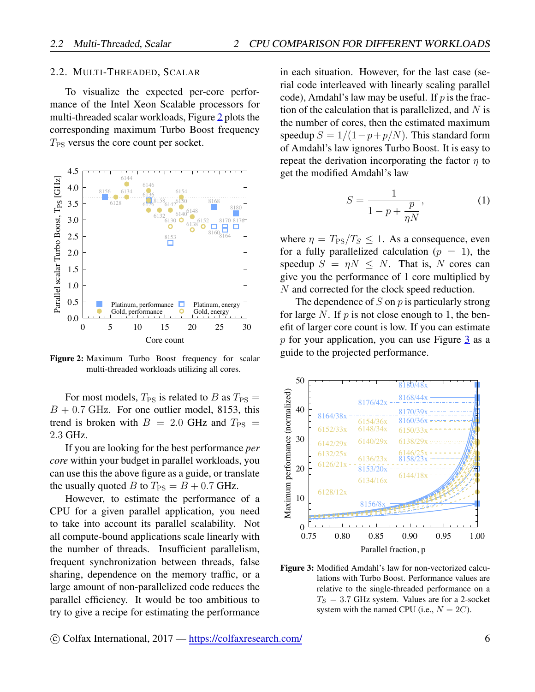#### <span id="page-5-0"></span>2.2. MULTI-THREADED, SCALAR

To visualize the expected per-core performance of the Intel Xeon Scalable processors for multi-threaded scalar workloads, Figure 2 plots the corresponding maximum Turbo Boost frequency  $T_{\rm PS}$  versus the core count per socket.

<span id="page-5-1"></span>

Figure 2: Maximum Turbo Boost frequency for scalar multi-threaded workloads utilizing all cores.

For most models,  $T_{PS}$  is related to B as  $T_{PS}$  =  $B + 0.7$  GHz. For one outlier model, 8153, this trend is broken with  $B = 2.0$  GHz and  $T_{PS} =$ 2.3 GHz.

If you are looking for the best performance *per* core within your budget in parallel workloads, you can use this the above figure as a guide, or translate the usually quoted B to  $T_{PS} = B + 0.7$  GHz.

However, to estimate the performance of a CPU for a given parallel application, you need to take into account its parallel scalability. Not all compute-bound applications scale linearly with the number of threads. Insufficient parallelism, frequent synchronization between threads, false sharing, dependence on the memory traffic, or a large amount of non-parallelized code reduces the parallel efficiency. It would be too ambitious to try to give a recipe for estimating the performance

in each situation. However, for the last case (serial code interleaved with linearly scaling parallel code), Amdahl's law may be useful. If  $p$  is the fraction of the calculation that is parallelized, and  $N$  is the number of cores, then the estimated maximum speedup  $S = 1/(1 - p + p/N)$ . This standard form of Amdahl's law ignores Turbo Boost. It is easy to repeat the derivation incorporating the factor  $\eta$  to get the modified Amdahl's law

$$
S = \frac{1}{1 - p + \frac{p}{\eta N}},\tag{1}
$$

where  $\eta = T_{\rm PS}/T_S \leq 1$ . As a consequence, even for a fully parallelized calculation ( $p = 1$ ), the speedup  $S = \eta N \leq N$ . That is, N cores can give you the performance of 1 core multiplied by N and corrected for the clock speed reduction.

The dependence of  $S$  on  $p$  is particularly strong for large N. If  $p$  is not close enough to 1, the benefit of larger core count is low. If you can estimate  $p$  for your application, you can use Figure 3 as a guide to the projected performance.

<span id="page-5-2"></span>

Figure 3: Modified Amdahl's law for non-vectorized calculations with Turbo Boost. Performance values are relative to the single-threaded performance on a  $T_S = 3.7$  GHz system. Values are for a 2-socket system with the named CPU (i.e.,  $N = 2C$ ).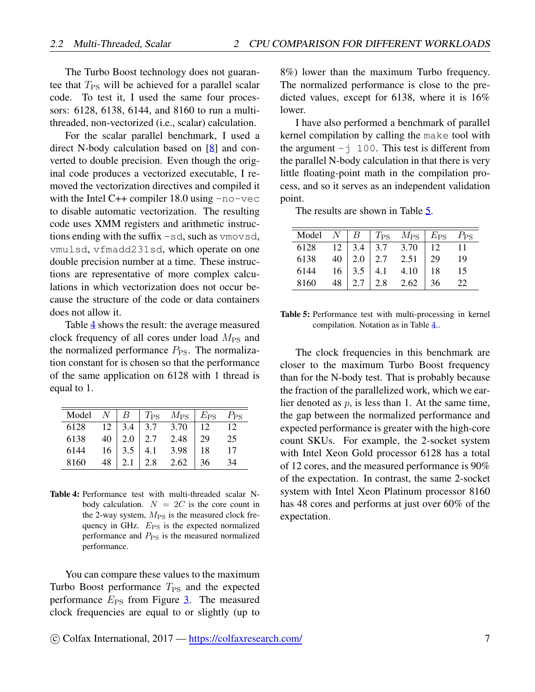The Turbo Boost technology does not guarantee that  $T_{PS}$  will be achieved for a parallel scalar code. To test it, I used the same four processors: 6128, 6138, 6144, and 8160 to run a multithreaded, non-vectorized (i.e., scalar) calculation.

For the scalar parallel benchmark, I used a direct N-body calculation based on [[8\]](#page-12-7) and converted to double precision. Even though the original code produces a vectorized executable, I removed the vectorization directives and compiled it with the Intel  $C++$  compiler 18.0 using  $-no-vec$ to disable automatic vectorization. The resulting code uses XMM registers and arithmetic instructions ending with the suffix  $-sd$ , such as vmovsd, vmulsd, vfmadd231sd, which operate on one double precision number at a time. These instructions are representative of more complex calculations in which vectorization does not occur because the structure of the code or data containers does not allow it.

Table [4](#page-6-0) shows the result: the average measured clock frequency of all cores under load  $M_{PS}$  and the normalized performance  $P_{PS}$ . The normalization constant for is chosen so that the performance of the same application on 6128 with 1 thread is equal to 1.

<span id="page-6-0"></span>

| Model |    | В   | $T_{\rm PS}$ | $M_{\rm PS}$ | $E_{\rm PS}$ | $P_{\rm PS}$ |
|-------|----|-----|--------------|--------------|--------------|--------------|
| 6128  | 12 | 3.4 | 3.7          | 3.70         | 12           | 12           |
| 6138  | 40 | 2.0 | 2.7          | 2.48         | 29.          | 25           |
| 6144  | 16 |     |              | 3.98         | 18           |              |
| 8160  |    |     | 2.8          | 2.62         | 36           |              |

Table 4: Performance test with multi-threaded scalar Nbody calculation.  $N = 2C$  is the core count in the 2-way system,  $M_{\text{PS}}$  is the measured clock frequency in GHz.  $E_{PS}$  is the expected normalized performance and  $P_{PS}$  is the measured normalized performance.

You can compare these values to the maximum Turbo Boost performance  $T_{PS}$  and the expected performance  $E_{PS}$  from Figure [3](#page-5-2). The measured clock frequencies are equal to or slightly (up to 8%) lower than the maximum Turbo frequency. The normalized performance is close to the predicted values, except for 6138, where it is 16% lower.

I have also performed a benchmark of parallel kernel compilation by calling the make tool with the argument  $-\dot{y}$  100. This test is different from the parallel N-body calculation in that there is very little floating-point math in the compilation process, and so it serves as an independent validation point.

The results are shown in Table [5](#page-6-1).

<span id="page-6-1"></span>

| Model $N \mid B \mid T_{PS} \mid M_{PS} \mid E_{PS} \mid P_{PS}$ |  |                                                                                                                               |    |
|------------------------------------------------------------------|--|-------------------------------------------------------------------------------------------------------------------------------|----|
| 6128                                                             |  | $\boxed{12}$ $\boxed{3.4}$ $\boxed{3.7}$ $\boxed{3.70}$ $\boxed{12}$ $\boxed{11}$                                             |    |
| 6138                                                             |  |                                                                                                                               | 19 |
| 6144                                                             |  |                                                                                                                               | 15 |
| 8160                                                             |  | $\begin{array}{c ccccc}\n40 & 2.0 & 2.7 & 2.51 & 29 \\ 16 & 3.5 & 4.1 & 4.10 & 18 \\ 48 & 2.7 & 2.8 & 2.62 & 36\n\end{array}$ | 22 |

Table 5: Performance test with multi-processing in kernel compilation. Notation as in Table [4](#page-6-0)..

The clock frequencies in this benchmark are closer to the maximum Turbo Boost frequency than for the N-body test. That is probably because the fraction of the parallelized work, which we earlier denoted as *p*, is less than 1. At the same time, the gap between the normalized performance and expected performance is greater with the high-core count SKUs. For example, the 2-socket system with Intel Xeon Gold processor 6128 has a total of 12 cores, and the measured performance is 90% of the expectation. In contrast, the same 2-socket system with Intel Xeon Platinum processor 8160 has 48 cores and performs at just over 60% of the expectation.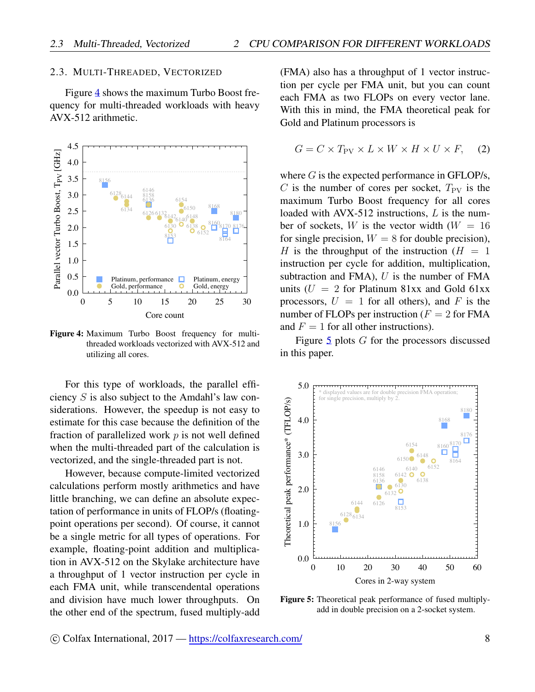#### <span id="page-7-0"></span>2.3. MULTI-THREADED, VECTORIZED

Figure 4 shows the maximum Turbo Boost frequency for multi-threaded workloads with heavy AVX-512 arithmetic.

<span id="page-7-1"></span>

Figure 4: Maximum Turbo Boost frequency for multithreaded workloads vectorized with AVX-512 and utilizing all cores.

For this type of workloads, the parallel efficiency  $S$  is also subject to the Amdahl's law considerations. However, the speedup is not easy to estimate for this case because the definition of the fraction of parallelized work  $p$  is not well defined when the multi-threaded part of the calculation is vectorized, and the single-threaded part is not.

However, because compute-limited vectorized calculations perform mostly arithmetics and have little branching, we can define an absolute expectation of performance in units of FLOP/s (floatingpoint operations per second). Of course, it cannot be a single metric for all types of operations. For example, floating-point addition and multiplication in AVX-512 on the Skylake architecture have a throughput of 1 vector instruction per cycle in each FMA unit, while transcendental operations and division have much lower throughputs. On the other end of the spectrum, fused multiply-add (FMA) also has a throughput of 1 vector instruction per cycle per FMA unit, but you can count each FMA as two FLOPs on every vector lane. With this in mind, the FMA theoretical peak for Gold and Platinum processors is

<span id="page-7-3"></span>
$$
G = C \times T_{\text{PV}} \times L \times W \times H \times U \times F, \quad (2)
$$

where  $G$  is the expected performance in GFLOP/s, C is the number of cores per socket,  $T_{\rm PV}$  is the maximum Turbo Boost frequency for all cores loaded with AVX-512 instructions,  $L$  is the number of sockets, W is the vector width  $(W = 16$ for single precision,  $W = 8$  for double precision), H is the throughput of the instruction ( $H = 1$ ) instruction per cycle for addition, multiplication, subtraction and FMA),  $U$  is the number of FMA units ( $U = 2$  for Platinum 81xx and Gold 61xx processors,  $U = 1$  for all others), and F is the number of FLOPs per instruction ( $F = 2$  for FMA and  $F = 1$  for all other instructions).

Figure  $5$  plots  $G$  for the processors discussed in this paper.

<span id="page-7-2"></span>

Figure 5: Theoretical peak performance of fused multiplyadd in double precision on a 2-socket system.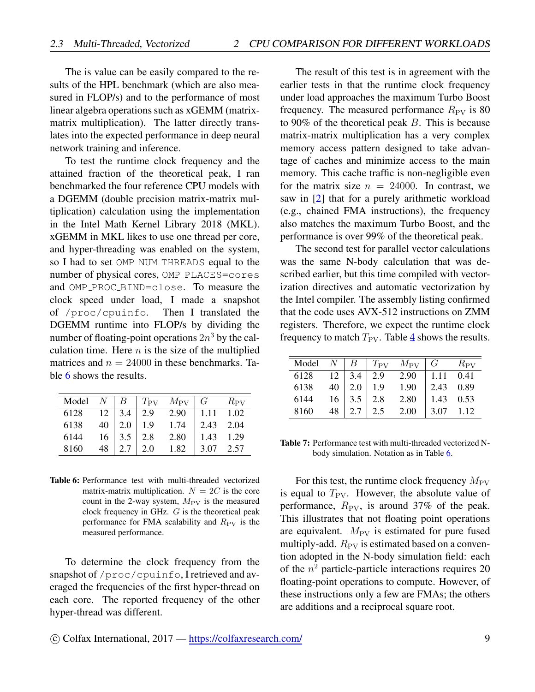The is value can be easily compared to the results of the HPL benchmark (which are also measured in FLOP/s) and to the performance of most linear algebra operations such as xGEMM (matrixmatrix multiplication). The latter directly translates into the expected performance in deep neural network training and inference.

To test the runtime clock frequency and the attained fraction of the theoretical peak, I ran benchmarked the four reference CPU models with a DGEMM (double precision matrix-matrix multiplication) calculation using the implementation in the Intel Math Kernel Library 2018 (MKL). xGEMM in MKL likes to use one thread per core, and hyper-threading was enabled on the system, so I had to set OMP\_NUM\_THREADS equal to the number of physical cores, OMP PLACES=cores and OMP\_PROC\_BIND=close. To measure the clock speed under load, I made a snapshot of /proc/cpuinfo. Then I translated the DGEMM runtime into FLOP/s by dividing the number of floating-point operations  $2n^3$  by the calculation time. Here  $n$  is the size of the multiplied matrices and  $n = 24000$  in these benchmarks. Table [6](#page-8-0) shows the results.

<span id="page-8-0"></span>

| Model $N$ |    | $\mid B \mid$          |             | $T_{\rm PV}$ $M_{\rm PV}$   $G$ |             | $R_{\rm PV}$ |
|-----------|----|------------------------|-------------|---------------------------------|-------------|--------------|
| 6128      |    | $12 \mid 3.4 \mid 2.9$ |             | $2.90$   1.11                   |             | 1.02         |
| 6138      | 40 | $2.0$                  | $\vert$ 1.9 | 1.74                            | 2.43        | 2.04         |
| 6144      | 16 | $\vert 3.5 \vert$      | $2.8$       | 2.80                            | $1.43$ 1.29 |              |
| 8160      | 48 | 2.7                    | 2.0         | 1.82                            | 3.07        | 2.57         |

Table 6: Performance test with multi-threaded vectorized matrix-matrix multiplication.  $N = 2C$  is the core count in the 2-way system,  $M_{\rm PV}$  is the measured clock frequency in GHz. *G* is the theoretical peak performance for FMA scalability and  $R_{\rm PV}$  is the measured performance.

To determine the clock frequency from the snapshot of /proc/cpuinfo, I retrieved and averaged the frequencies of the first hyper-thread on each core. The reported frequency of the other hyper-thread was different.

The result of this test is in agreement with the earlier tests in that the runtime clock frequency under load approaches the maximum Turbo Boost frequency. The measured performance  $R_{\rm PV}$  is 80 to 90% of the theoretical peak *B*. This is because matrix-matrix multiplication has a very complex memory access pattern designed to take advantage of caches and minimize access to the main memory. This cache traffic is non-negligible even for the matrix size  $n = 24000$ . In contrast, we saw in [[2\]](#page-12-1) that for a purely arithmetic workload (e.g., chained FMA instructions), the frequency also matches the maximum Turbo Boost, and the performance is over 99% of the theoretical peak.

The second test for parallel vector calculations was the same N-body calculation that was described earlier, but this time compiled with vectorization directives and automatic vectorization by the Intel compiler. The assembly listing confirmed that the code uses AVX-512 instructions on ZMM registers. Therefore, we expect the runtime clock frequency to match  $T_{PV}$ . Table [4](#page-6-0) shows the results.

| $Model$ $N$ |    | $\perp B$         |     | $T_{\rm PV}$ $M_{\rm PV}$ | $\mid G \mid$ | $R_{\rm PV}$ |
|-------------|----|-------------------|-----|---------------------------|---------------|--------------|
| 6128        |    | $12 \mid 3.4$     | 2.9 | 2.90                      | $\vert$ 1.11  | 0.41         |
| 6138        | 40 | $\vert 2.0 \vert$ | 1.9 | 1.90                      | 2.43          | 0.89         |
| 6144        | 16 | 3.5               | 2.8 | 2.80                      | 1.43          | 0.53         |
| 8160        | 48 | 2.7               | 2.5 | 2.00                      | 3.07          | 1.12         |

Table 7: Performance test with multi-threaded vectorized Nbody simulation. Notation as in Table [6.](#page-8-0)

For this test, the runtime clock frequency  $M_{\rm PV}$ is equal to  $T_{\rm PV}$ . However, the absolute value of performance,  $R_{\rm PV}$ , is around 37% of the peak. This illustrates that not floating point operations are equivalent.  $M_{\rm PV}$  is estimated for pure fused multiply-add.  $R_{\rm PV}$  is estimated based on a convention adopted in the N-body simulation field: each of the *n* <sup>2</sup> particle-particle interactions requires 20 floating-point operations to compute. However, of these instructions only a few are FMAs; the others are additions and a reciprocal square root.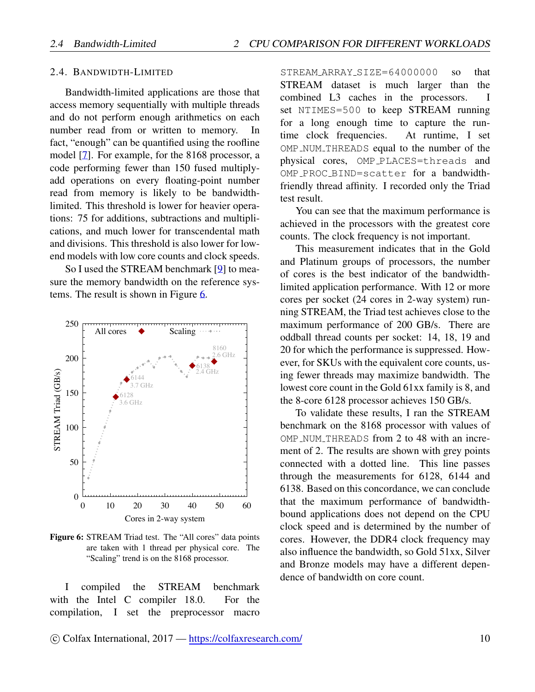#### <span id="page-9-0"></span>2.4. BANDWIDTH-LIMITED

Bandwidth-limited applications are those that access memory sequentially with multiple threads and do not perform enough arithmetics on each number read from or written to memory. In fact, "enough" can be quantified using the roofline model [7]. For example, for the 8168 processor, a code performing fewer than 150 fused multiplyadd operations on every floating-point number read from memory is likely to be bandwidthlimited. This threshold is lower for heavier operations: 75 for additions, subtractions and multiplications, and much lower for transcendental math and divisions. This threshold is also lower for lowend models with low core counts and clock speeds.

So I used the STREAM benchmark [9] to measure the memory bandwidth on the reference systems. The result is shown in Figure 6.

<span id="page-9-1"></span>

Figure 6: STREAM Triad test. The "All cores" data points are taken with 1 thread per physical core. The "Scaling" trend is on the 8168 processor.

compiled **STREAM** benchmark  $\bf{I}$ the with the Intel C compiler 18.0. For the compilation, I set the preprocessor macro

STREAM\_ARRAY\_SIZE=64000000 that  $SO<sub>2</sub>$ STREAM dataset is much larger than the combined L3 caches in the processors. T set NTIMES=500 to keep STREAM running for a long enough time to capture the runtime clock frequencies. At runtime, I set OMP\_NUM\_THREADS equal to the number of the physical cores, OMP\_PLACES=threads and OMP\_PROC\_BIND=scatter for a bandwidthfriendly thread affinity. I recorded only the Triad test result.

You can see that the maximum performance is achieved in the processors with the greatest core counts. The clock frequency is not important.

This measurement indicates that in the Gold and Platinum groups of processors, the number of cores is the best indicator of the bandwidthlimited application performance. With 12 or more cores per socket (24 cores in 2-way system) running STREAM, the Triad test achieves close to the maximum performance of 200 GB/s. There are oddball thread counts per socket: 14, 18, 19 and 20 for which the performance is suppressed. However, for SKUs with the equivalent core counts, using fewer threads may maximize bandwidth. The lowest core count in the Gold 61xx family is 8, and the 8-core 6128 processor achieves 150 GB/s.

To validate these results, I ran the STREAM benchmark on the 8168 processor with values of OMP\_NUM\_THREADS from 2 to 48 with an increment of 2. The results are shown with grey points connected with a dotted line. This line passes through the measurements for 6128, 6144 and 6138. Based on this concordance, we can conclude that the maximum performance of bandwidthbound applications does not depend on the CPU clock speed and is determined by the number of cores. However, the DDR4 clock frequency may also influence the bandwidth, so Gold 51xx, Silver and Bronze models may have a different dependence of bandwidth on core count.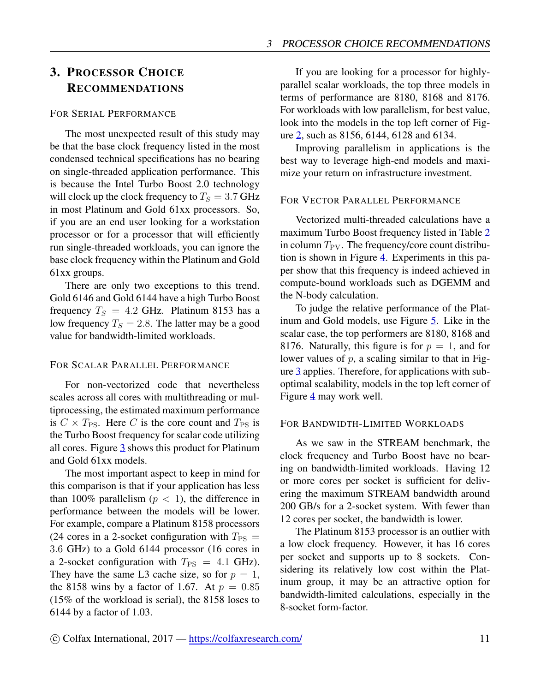# <span id="page-10-0"></span>3. PROCESSOR CHOICE RECOMMENDATIONS

#### FOR SERIAL PERFORMANCE

The most unexpected result of this study may be that the base clock frequency listed in the most condensed technical specifications has no bearing on single-threaded application performance. This is because the Intel Turbo Boost 2.0 technology will clock up the clock frequency to  $T<sub>S</sub> = 3.7$  GHz in most Platinum and Gold 61xx processors. So, if you are an end user looking for a workstation processor or for a processor that will efficiently run single-threaded workloads, you can ignore the base clock frequency within the Platinum and Gold 61xx groups.

There are only two exceptions to this trend. Gold 6146 and Gold 6144 have a high Turbo Boost frequency  $T_S = 4.2$  GHz. Platinum 8153 has a low frequency  $T_S = 2.8$ . The latter may be a good value for bandwidth-limited workloads.

#### FOR SCALAR PARALLEL PERFORMANCE

For non-vectorized code that nevertheless scales across all cores with multithreading or multiprocessing, the estimated maximum performance is  $C \times T_{PS}$ . Here *C* is the core count and  $T_{PS}$  is the Turbo Boost frequency for scalar code utilizing all cores. Figure [3](#page-5-2) shows this product for Platinum and Gold 61xx models.

The most important aspect to keep in mind for this comparison is that if your application has less than 100% parallelism  $(p < 1)$ , the difference in performance between the models will be lower. For example, compare a Platinum 8158 processors (24 cores in a 2-socket configuration with  $T_{PS}$  = 3*.*6 GHz) to a Gold 6144 processor (16 cores in a 2-socket configuration with  $T_{PS} = 4.1$  GHz). They have the same L3 cache size, so for  $p = 1$ , the 8158 wins by a factor of 1.67. At  $p = 0.85$ (15% of the workload is serial), the 8158 loses to 6144 by a factor of 1.03.

If you are looking for a processor for highlyparallel scalar workloads, the top three models in terms of performance are 8180, 8168 and 8176. For workloads with low parallelism, for best value, look into the models in the top left corner of Figure [2](#page-5-1), such as 8156, 6144, 6128 and 6134.

Improving parallelism in applications is the best way to leverage high-end models and maximize your return on infrastructure investment.

#### FOR VECTOR PARALLEL PERFORMANCE

Vectorized multi-threaded calculations have a maximum Turbo Boost frequency listed in Table [2](#page-2-1) in column  $T_{PV}$ . The frequency/core count distribution is shown in Figure [4](#page-7-1). Experiments in this paper show that this frequency is indeed achieved in compute-bound workloads such as DGEMM and the N-body calculation.

To judge the relative performance of the Platinum and Gold models, use Figure [5](#page-7-2). Like in the scalar case, the top performers are 8180, 8168 and 8176. Naturally, this figure is for  $p = 1$ , and for lower values of *p*, a scaling similar to that in Figure [3](#page-5-2) applies. Therefore, for applications with suboptimal scalability, models in the top left corner of Figure [4](#page-7-1) may work well.

#### FOR BANDWIDTH-LIMITED WORKLOADS

As we saw in the STREAM benchmark, the clock frequency and Turbo Boost have no bearing on bandwidth-limited workloads. Having 12 or more cores per socket is sufficient for delivering the maximum STREAM bandwidth around 200 GB/s for a 2-socket system. With fewer than 12 cores per socket, the bandwidth is lower.

The Platinum 8153 processor is an outlier with a low clock frequency. However, it has 16 cores per socket and supports up to 8 sockets. Considering its relatively low cost within the Platinum group, it may be an attractive option for bandwidth-limited calculations, especially in the 8-socket form-factor.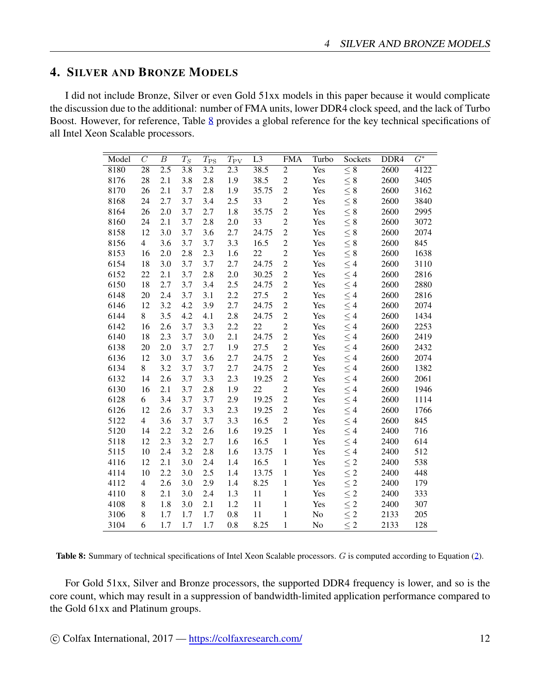# <span id="page-11-0"></span>4. SILVER AND BRONZE MODELS

I did not include Bronze, Silver or even Gold 51xx models in this paper because it would complicate the discussion due to the additional: number of FMA units, lower DDR4 clock speed, and the lack of Turbo Boost. However, for reference, Table [8](#page-11-1) provides a global reference for the key technical specifications of all Intel Xeon Scalable processors.

<span id="page-11-1"></span>

| Model | $\overline{C}$  | $\boldsymbol{B}$ | $T_S$            | $T_{\rm PS}$ | $T_{\rm PV}$     | $\overline{L3}$ | <b>FMA</b>     | Turbo | Sockets             | DDR <sub>4</sub> | $\overline{G^*}$ |
|-------|-----------------|------------------|------------------|--------------|------------------|-----------------|----------------|-------|---------------------|------------------|------------------|
| 8180  | $\overline{28}$ | 2.5              | $\overline{3.8}$ | 3.2          | $\overline{2.3}$ | 38.5            | $\overline{2}$ | Yes   | $\overline{\leq 8}$ | 2600             | 4122             |
| 8176  | 28              | 2.1              | 3.8              | 2.8          | 1.9              | 38.5            | $\overline{c}$ | Yes   | $\leq 8$            | 2600             | 3405             |
| 8170  | 26              | 2.1              | 3.7              | 2.8          | 1.9              | 35.75           | $\overline{c}$ | Yes   | $\leq 8$            | 2600             | 3162             |
| 8168  | 24              | 2.7              | 3.7              | 3.4          | 2.5              | 33              | $\overline{c}$ | Yes   | $\leq 8$            | 2600             | 3840             |
| 8164  | 26              | 2.0              | 3.7              | 2.7          | 1.8              | 35.75           | $\overline{c}$ | Yes   | $\leq 8$            | 2600             | 2995             |
| 8160  | 24              | 2.1              | 3.7              | 2.8          | 2.0              | 33              | $\overline{c}$ | Yes   | $\leq 8$            | 2600             | 3072             |
| 8158  | 12              | 3.0              | 3.7              | 3.6          | 2.7              | 24.75           | $\overline{c}$ | Yes   | $\leq 8$            | 2600             | 2074             |
| 8156  | $\overline{4}$  | 3.6              | 3.7              | 3.7          | 3.3              | 16.5            | $\overline{c}$ | Yes   | $\leq 8$            | 2600             | 845              |
| 8153  | 16              | 2.0              | 2.8              | 2.3          | 1.6              | 22              | $\overline{c}$ | Yes   | $\leq 8$            | 2600             | 1638             |
| 6154  | 18              | 3.0              | 3.7              | 3.7          | 2.7              | 24.75           | $\overline{c}$ | Yes   | $\leq 4$            | 2600             | 3110             |
| 6152  | 22              | 2.1              | 3.7              | 2.8          | 2.0              | 30.25           | $\overline{c}$ | Yes   | $\leq 4$            | 2600             | 2816             |
| 6150  | 18              | 2.7              | 3.7              | 3.4          | 2.5              | 24.75           | $\overline{c}$ | Yes   | $\leq 4$            | 2600             | 2880             |
| 6148  | 20              | 2.4              | 3.7              | 3.1          | 2.2              | 27.5            | $\overline{c}$ | Yes   | $\leq 4$            | 2600             | 2816             |
| 6146  | 12              | 3.2              | 4.2              | 3.9          | 2.7              | 24.75           | $\sqrt{2}$     | Yes   | $\leq 4$            | 2600             | 2074             |
| 6144  | 8               | 3.5              | 4.2              | 4.1          | 2.8              | 24.75           | $\overline{c}$ | Yes   | $\leq 4$            | 2600             | 1434             |
| 6142  | 16              | 2.6              | 3.7              | 3.3          | 2.2              | 22              | $\overline{c}$ | Yes   | $\leq 4$            | 2600             | 2253             |
| 6140  | 18              | 2.3              | 3.7              | 3.0          | 2.1              | 24.75           | $\overline{2}$ | Yes   | $\leq 4$            | 2600             | 2419             |
| 6138  | 20              | 2.0              | 3.7              | 2.7          | 1.9              | 27.5            | $\overline{c}$ | Yes   | $\leq 4$            | 2600             | 2432             |
| 6136  | 12              | 3.0              | 3.7              | 3.6          | 2.7              | 24.75           | $\overline{c}$ | Yes   | $\leq 4$            | 2600             | 2074             |
| 6134  | 8               | 3.2              | 3.7              | 3.7          | 2.7              | 24.75           | $\overline{2}$ | Yes   | $\leq 4$            | 2600             | 1382             |
| 6132  | 14              | 2.6              | 3.7              | 3.3          | 2.3              | 19.25           | $\overline{2}$ | Yes   | $\leq 4$            | 2600             | 2061             |
| 6130  | 16              | 2.1              | 3.7              | 2.8          | 1.9              | 22              | $\overline{c}$ | Yes   | $\leq 4$            | 2600             | 1946             |
| 6128  | 6               | 3.4              | 3.7              | 3.7          | 2.9              | 19.25           | $\sqrt{2}$     | Yes   | $\leq 4$            | 2600             | 1114             |
| 6126  | 12              | 2.6              | 3.7              | 3.3          | 2.3              | 19.25           | $\overline{c}$ | Yes   | $\leq 4$            | 2600             | 1766             |
| 5122  | $\overline{4}$  | 3.6              | 3.7              | 3.7          | 3.3              | 16.5            | $\overline{2}$ | Yes   | $\leq 4$            | 2600             | 845              |
| 5120  | 14              | 2.2              | 3.2              | 2.6          | 1.6              | 19.25           | $\mathbf{1}$   | Yes   | $\leq 4$            | 2400             | 716              |
| 5118  | 12              | 2.3              | 3.2              | 2.7          | 1.6              | 16.5            | $\mathbf{1}$   | Yes   | $\leq 4$            | 2400             | 614              |
| 5115  | 10              | 2.4              | 3.2              | 2.8          | 1.6              | 13.75           | $\mathbf{1}$   | Yes   | $\leq 4$            | 2400             | 512              |
| 4116  | 12              | 2.1              | 3.0              | 2.4          | 1.4              | 16.5            | $\mathbf{1}$   | Yes   | $\leq 2$            | 2400             | 538              |
| 4114  | 10              | 2.2              | 3.0              | 2.5          | 1.4              | 13.75           | $\mathbf{1}$   | Yes   | $\leq 2$            | 2400             | 448              |
| 4112  | $\overline{4}$  | 2.6              | 3.0              | 2.9          | 1.4              | 8.25            | $\mathbf{1}$   | Yes   | $\leq 2$            | 2400             | 179              |
| 4110  | 8               | 2.1              | 3.0              | 2.4          | 1.3              | 11              | $\mathbf{1}$   | Yes   | $\leq 2$            | 2400             | 333              |
| 4108  | 8               | 1.8              | 3.0              | 2.1          | 1.2              | 11              | $\mathbf{1}$   | Yes   | $\leq 2$            | 2400             | 307              |
| 3106  | 8               | 1.7              | 1.7              | 1.7          | 0.8              | 11              | $\mathbf{1}$   | No    | $\leq 2$            | 2133             | 205              |
| 3104  | 6               | 1.7              | 1.7              | 1.7          | 0.8              | 8.25            | $\mathbf{1}$   | No    | $\leq 2$            | 2133             | 128              |

Table 8: Summary of technical specifications of Intel Xeon Scalable processors. *G* is computed according to Equation [\(2](#page-7-3)).

For Gold 51xx, Silver and Bronze processors, the supported DDR4 frequency is lower, and so is the core count, which may result in a suppression of bandwidth-limited application performance compared to the Gold 61xx and Platinum groups.